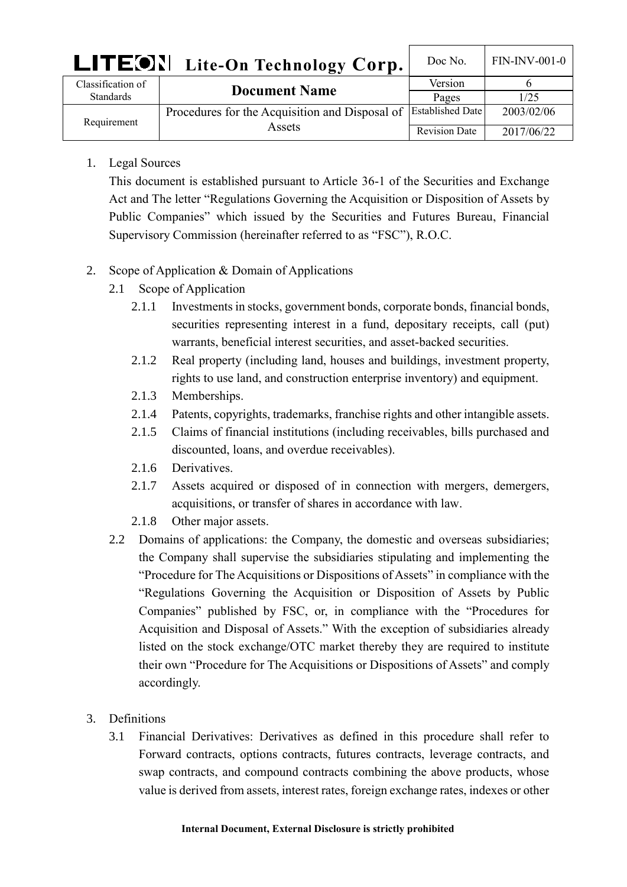| LITEON Lite-On Technology Corp. |                                                | Doc No.                 | <b>FIN-INV-001-0</b> |
|---------------------------------|------------------------------------------------|-------------------------|----------------------|
| Classification of               | <b>Document Name</b>                           | Version                 |                      |
| <b>Standards</b>                | Pages                                          | 1/25                    |                      |
| Requirement                     | Procedures for the Acquisition and Disposal of | <b>Established Date</b> | 2003/02/06           |
|                                 | Assets                                         | <b>Revision Date</b>    | 2017/06/22           |

1. Legal Sources

This document is established pursuant to Article 36-1 of the Securities and Exchange Act and The letter "Regulations Governing the Acquisition or Disposition of Assets by Public Companies" which issued by the Securities and Futures Bureau, Financial Supervisory Commission (hereinafter referred to as "FSC"), R.O.C.

- 2. Scope of Application & Domain of Applications
	- 2.1 Scope of Application
		- 2.1.1 Investments in stocks, government bonds, corporate bonds, financial bonds, securities representing interest in a fund, depositary receipts, call (put) warrants, beneficial interest securities, and asset-backed securities.
		- 2.1.2 Real property (including land, houses and buildings, investment property, rights to use land, and construction enterprise inventory) and equipment.
		- 2.1.3 Memberships.
		- 2.1.4 Patents, copyrights, trademarks, franchise rights and other intangible assets.
		- 2.1.5 Claims of financial institutions (including receivables, bills purchased and discounted, loans, and overdue receivables).
		- 2.1.6 Derivatives.
		- 2.1.7 Assets acquired or disposed of in connection with mergers, demergers, acquisitions, or transfer of shares in accordance with law.
		- 2.1.8 Other major assets.
	- 2.2 Domains of applications: the Company, the domestic and overseas subsidiaries; the Company shall supervise the subsidiaries stipulating and implementing the "Procedure for The Acquisitions or Dispositions of Assets" in compliance with the "Regulations Governing the Acquisition or Disposition of Assets by Public Companies" published by FSC, or, in compliance with the "Procedures for Acquisition and Disposal of Assets." With the exception of subsidiaries already listed on the stock exchange/OTC market thereby they are required to institute their own "Procedure for The Acquisitions or Dispositions of Assets" and comply accordingly.
- 3. Definitions
	- 3.1 Financial Derivatives: Derivatives as defined in this procedure shall refer to Forward contracts, options contracts, futures contracts, leverage contracts, and swap contracts, and compound contracts combining the above products, whose value is derived from assets, interest rates, foreign exchange rates, indexes or other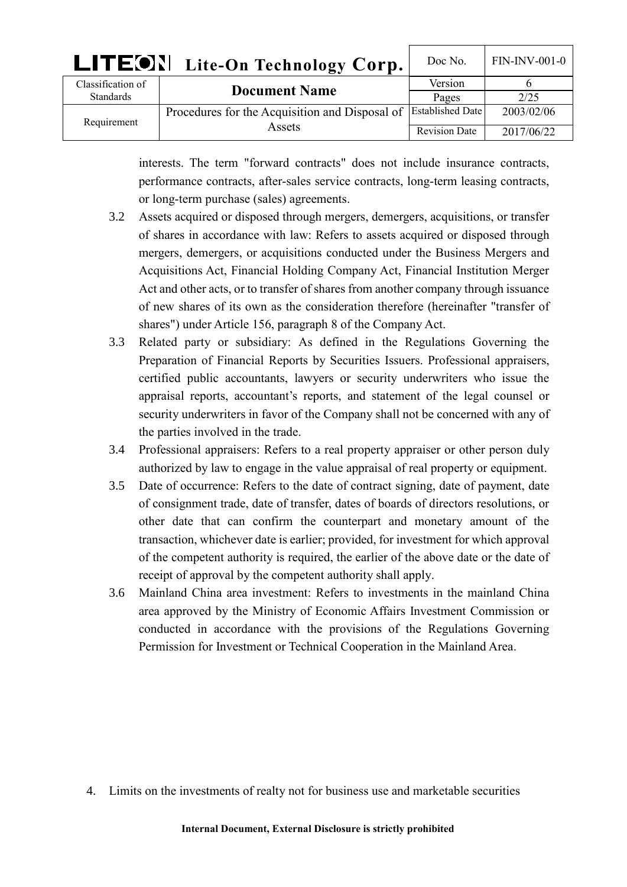| LITEON Lite-On Technology Corp. |                                                | Doc No.                 | $FIN-INV-001-0$ |
|---------------------------------|------------------------------------------------|-------------------------|-----------------|
| Classification of               | <b>Document Name</b>                           | Version                 |                 |
| <b>Standards</b>                |                                                | Pages                   | 2/25            |
| Requirement                     | Procedures for the Acquisition and Disposal of | <b>Established Date</b> | 2003/02/06      |
|                                 | Assets                                         | <b>Revision Date</b>    | 2017/06/22      |

interests. The term "forward contracts" does not include insurance contracts, performance contracts, after-sales service contracts, long-term leasing contracts, or long-term purchase (sales) agreements.

- 3.2 Assets acquired or disposed through mergers, demergers, acquisitions, or transfer of shares in accordance with law: Refers to assets acquired or disposed through mergers, demergers, or acquisitions conducted under the Business Mergers and Acquisitions Act, Financial Holding Company Act, Financial Institution Merger Act and other acts, or to transfer of shares from another company through issuance of new shares of its own as the consideration therefore (hereinafter "transfer of shares") under Article 156, paragraph 8 of the Company Act.
- 3.3 Related party or subsidiary: As defined in the Regulations Governing the Preparation of Financial Reports by Securities Issuers. Professional appraisers, certified public accountants, lawyers or security underwriters who issue the appraisal reports, accountant's reports, and statement of the legal counsel or security underwriters in favor of the Company shall not be concerned with any of the parties involved in the trade.
- 3.4 Professional appraisers: Refers to a real property appraiser or other person duly authorized by law to engage in the value appraisal of real property or equipment.
- 3.5 Date of occurrence: Refers to the date of contract signing, date of payment, date of consignment trade, date of transfer, dates of boards of directors resolutions, or other date that can confirm the counterpart and monetary amount of the transaction, whichever date is earlier; provided, for investment for which approval of the competent authority is required, the earlier of the above date or the date of receipt of approval by the competent authority shall apply.
- 3.6 Mainland China area investment: Refers to investments in the mainland China area approved by the Ministry of Economic Affairs Investment Commission or conducted in accordance with the provisions of the Regulations Governing Permission for Investment or Technical Cooperation in the Mainland Area.

4. Limits on the investments of realty not for business use and marketable securities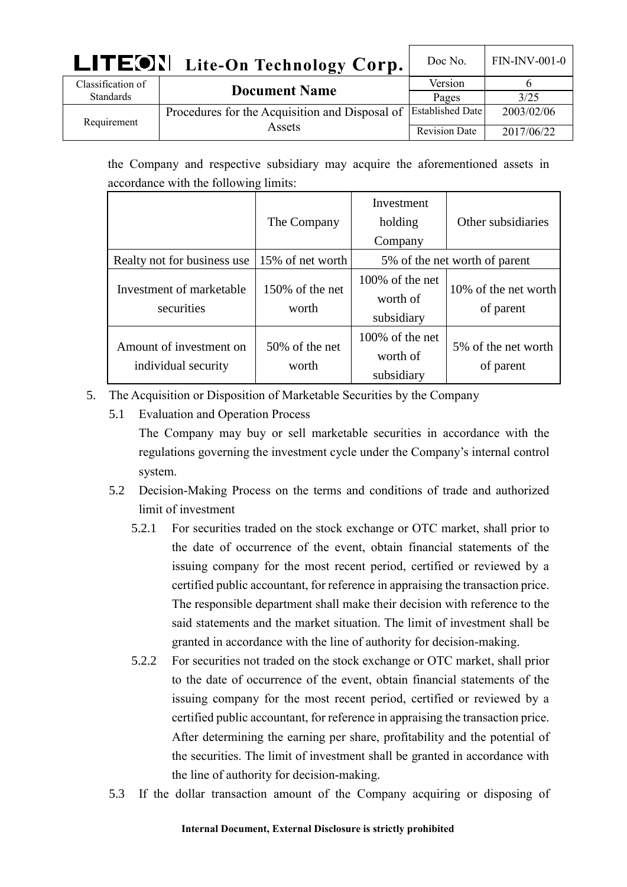| <b>LITEON</b> Lite-On Technology Corp. |                                                | Doc No.                 | $FIN-INV-001-0$ |
|----------------------------------------|------------------------------------------------|-------------------------|-----------------|
| Classification of                      | <b>Document Name</b>                           | Version                 |                 |
| <b>Standards</b>                       |                                                | Pages                   | 3/25            |
| Requirement                            | Procedures for the Acquisition and Disposal of | <b>Established Date</b> | 2003/02/06      |
|                                        | Assets                                         | <b>Revision Date</b>    | 2017/06/22      |

the Company and respective subsidiary may acquire the aforementioned assets in accordance with the following limits:

|                                                | The Company                 | Investment<br>holding<br>Company          | Other subsidiaries                |
|------------------------------------------------|-----------------------------|-------------------------------------------|-----------------------------------|
| Realty not for business use                    | 15% of net worth            |                                           | 5% of the net worth of parent     |
| Investment of marketable<br>securities         | $150\%$ of the net<br>worth | 100% of the net<br>worth of<br>subsidiary | 10% of the net worth<br>of parent |
| Amount of investment on<br>individual security | 50% of the net<br>worth     | 100% of the net<br>worth of<br>subsidiary | 5% of the net worth<br>of parent  |

- 5. The Acquisition or Disposition of Marketable Securities by the Company
	- 5.1 Evaluation and Operation Process

The Company may buy or sell marketable securities in accordance with the regulations governing the investment cycle under the Company's internal control system.

- 5.2 Decision-Making Process on the terms and conditions of trade and authorized limit of investment
	- 5.2.1 For securities traded on the stock exchange or OTC market, shall prior to the date of occurrence of the event, obtain financial statements of the issuing company for the most recent period, certified or reviewed by a certified public accountant, for reference in appraising the transaction price. The responsible department shall make their decision with reference to the said statements and the market situation. The limit of investment shall be granted in accordance with the line of authority for decision-making.
	- 5.2.2 For securities not traded on the stock exchange or OTC market, shall prior to the date of occurrence of the event, obtain financial statements of the issuing company for the most recent period, certified or reviewed by a certified public accountant, for reference in appraising the transaction price. After determining the earning per share, profitability and the potential of the securities. The limit of investment shall be granted in accordance with the line of authority for decision-making.
- 5.3 If the dollar transaction amount of the Company acquiring or disposing of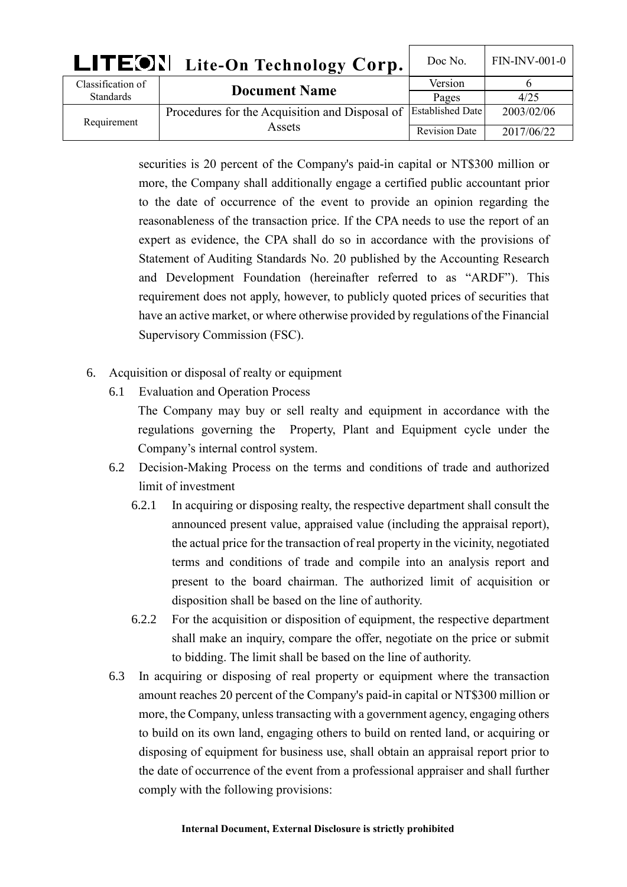| <b>LITEON</b> Lite-On Technology Corp. |                                                | Doc No.                 | <b>FIN-INV-001-0</b> |
|----------------------------------------|------------------------------------------------|-------------------------|----------------------|
| Classification of                      | <b>Document Name</b>                           | Version                 |                      |
| <b>Standards</b>                       | Pages                                          | 4/25                    |                      |
| Requirement                            | Procedures for the Acquisition and Disposal of | <b>Established Date</b> | 2003/02/06           |
|                                        | Assets                                         | <b>Revision Date</b>    | 2017/06/22           |

securities is 20 percent of the Company's paid-in capital or NT\$300 million or more, the Company shall additionally engage a certified public accountant prior to the date of occurrence of the event to provide an opinion regarding the reasonableness of the transaction price. If the CPA needs to use the report of an expert as evidence, the CPA shall do so in accordance with the provisions of Statement of Auditing Standards No. 20 published by the Accounting Research and Development Foundation (hereinafter referred to as "ARDF"). This requirement does not apply, however, to publicly quoted prices of securities that have an active market, or where otherwise provided by regulations of the Financial Supervisory Commission (FSC).

- 6. Acquisition or disposal of realty or equipment
	- 6.1 Evaluation and Operation Process

The Company may buy or sell realty and equipment in accordance with the regulations governing the Property, Plant and Equipment cycle under the Company's internal control system.

- 6.2 Decision-Making Process on the terms and conditions of trade and authorized limit of investment
	- 6.2.1 In acquiring or disposing realty, the respective department shall consult the announced present value, appraised value (including the appraisal report), the actual price for the transaction of real property in the vicinity, negotiated terms and conditions of trade and compile into an analysis report and present to the board chairman. The authorized limit of acquisition or disposition shall be based on the line of authority.
	- 6.2.2 For the acquisition or disposition of equipment, the respective department shall make an inquiry, compare the offer, negotiate on the price or submit to bidding. The limit shall be based on the line of authority.
- 6.3 In acquiring or disposing of real property or equipment where the transaction amount reaches 20 percent of the Company's paid-in capital or NT\$300 million or more, the Company, unless transacting with a government agency, engaging others to build on its own land, engaging others to build on rented land, or acquiring or disposing of equipment for business use, shall obtain an appraisal report prior to the date of occurrence of the event from a professional appraiser and shall further comply with the following provisions: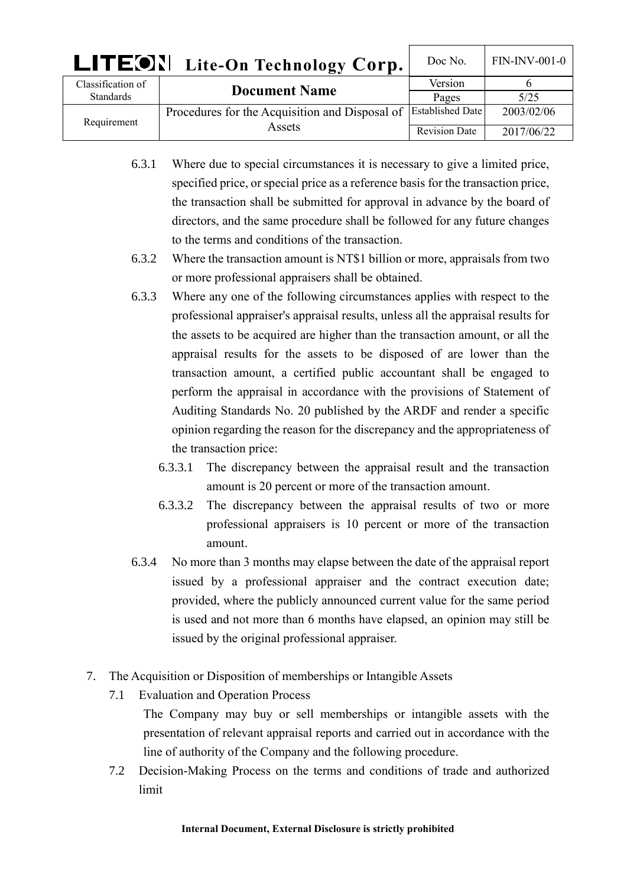| <b>LITEON</b> Lite-On Technology Corp. |                                                | Doc No.                          | <b>FIN-INV-001-0</b> |
|----------------------------------------|------------------------------------------------|----------------------------------|----------------------|
| Classification of<br><b>Standards</b>  | <b>Document Name</b>                           | Version                          | 5/25                 |
|                                        | Procedures for the Acquisition and Disposal of | Pages<br><b>Established Date</b> | 2003/02/06           |
| Requirement                            | Assets                                         | <b>Revision Date</b>             | 2017/06/22           |
|                                        |                                                |                                  |                      |

- 6.3.1 Where due to special circumstances it is necessary to give a limited price, specified price, or special price as a reference basis for the transaction price, the transaction shall be submitted for approval in advance by the board of directors, and the same procedure shall be followed for any future changes to the terms and conditions of the transaction.
- 6.3.2 Where the transaction amount is NT\$1 billion or more, appraisals from two or more professional appraisers shall be obtained.
- 6.3.3 Where any one of the following circumstances applies with respect to the professional appraiser's appraisal results, unless all the appraisal results for the assets to be acquired are higher than the transaction amount, or all the appraisal results for the assets to be disposed of are lower than the transaction amount, a certified public accountant shall be engaged to perform the appraisal in accordance with the provisions of Statement of Auditing Standards No. 20 published by the ARDF and render a specific opinion regarding the reason for the discrepancy and the appropriateness of the transaction price:
	- 6.3.3.1 The discrepancy between the appraisal result and the transaction amount is 20 percent or more of the transaction amount.
	- 6.3.3.2 The discrepancy between the appraisal results of two or more professional appraisers is 10 percent or more of the transaction amount.
- 6.3.4 No more than 3 months may elapse between the date of the appraisal report issued by a professional appraiser and the contract execution date; provided, where the publicly announced current value for the same period is used and not more than 6 months have elapsed, an opinion may still be issued by the original professional appraiser.
- 7. The Acquisition or Disposition of memberships or Intangible Assets
	- 7.1 Evaluation and Operation Process

The Company may buy or sell memberships or intangible assets with the presentation of relevant appraisal reports and carried out in accordance with the line of authority of the Company and the following procedure.

7.2 Decision-Making Process on the terms and conditions of trade and authorized limit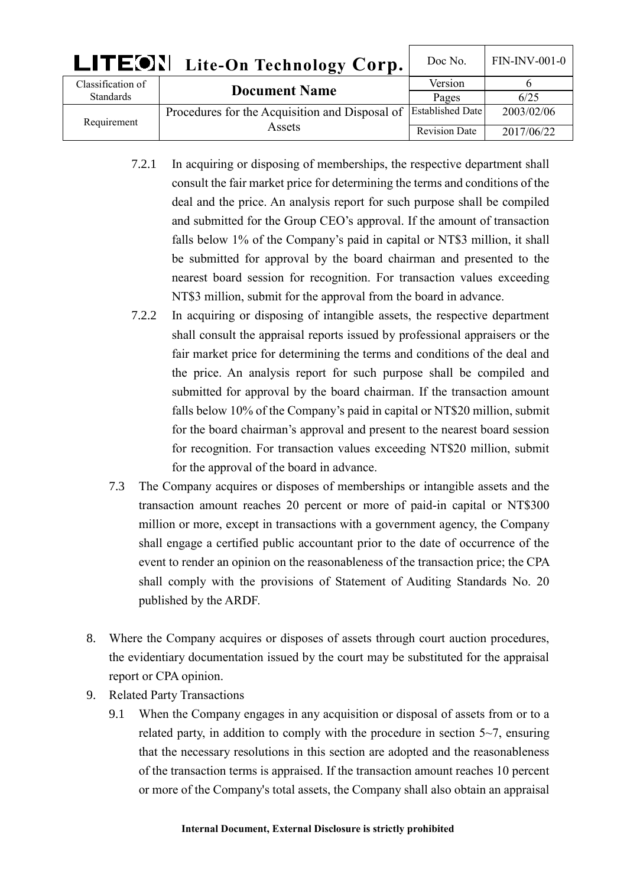| <b>LITEON</b> Lite-On Technology Corp. |                                                | Doc No.                 | <b>FIN-INV-001-0</b> |
|----------------------------------------|------------------------------------------------|-------------------------|----------------------|
| Classification of                      | <b>Document Name</b>                           | Version                 |                      |
| <b>Standards</b>                       |                                                | Pages                   | 6/25                 |
| Requirement                            | Procedures for the Acquisition and Disposal of | <b>Established Date</b> | 2003/02/06           |
|                                        | Assets                                         | <b>Revision Date</b>    | 2017/06/22           |

- 7.2.1 In acquiring or disposing of memberships, the respective department shall consult the fair market price for determining the terms and conditions of the deal and the price. An analysis report for such purpose shall be compiled and submitted for the Group CEO's approval. If the amount of transaction falls below 1% of the Company's paid in capital or NT\$3 million, it shall be submitted for approval by the board chairman and presented to the nearest board session for recognition. For transaction values exceeding NT\$3 million, submit for the approval from the board in advance.
- 7.2.2 In acquiring or disposing of intangible assets, the respective department shall consult the appraisal reports issued by professional appraisers or the fair market price for determining the terms and conditions of the deal and the price. An analysis report for such purpose shall be compiled and submitted for approval by the board chairman. If the transaction amount falls below 10% of the Company's paid in capital or NT\$20 million, submit for the board chairman's approval and present to the nearest board session for recognition. For transaction values exceeding NT\$20 million, submit for the approval of the board in advance.
- 7.3 The Company acquires or disposes of memberships or intangible assets and the transaction amount reaches 20 percent or more of paid-in capital or NT\$300 million or more, except in transactions with a government agency, the Company shall engage a certified public accountant prior to the date of occurrence of the event to render an opinion on the reasonableness of the transaction price; the CPA shall comply with the provisions of Statement of Auditing Standards No. 20 published by the ARDF.
- 8. Where the Company acquires or disposes of assets through court auction procedures, the evidentiary documentation issued by the court may be substituted for the appraisal report or CPA opinion.
- 9. Related Party Transactions
	- 9.1 When the Company engages in any acquisition or disposal of assets from or to a related party, in addition to comply with the procedure in section  $5\sim$ 7, ensuring that the necessary resolutions in this section are adopted and the reasonableness of the transaction terms is appraised. If the transaction amount reaches 10 percent or more of the Company's total assets, the Company shall also obtain an appraisal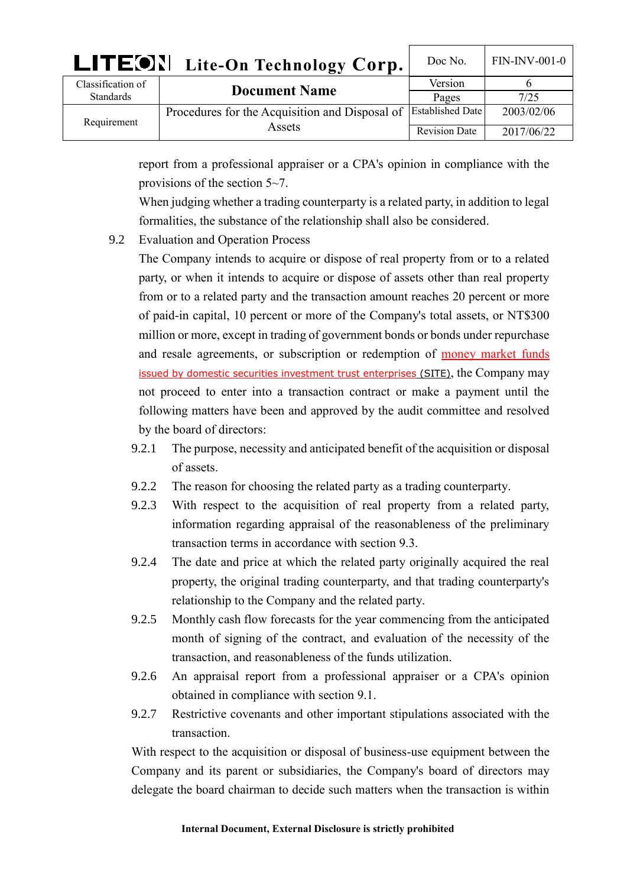| LITEON Lite-On Technology Corp. |                                                | Doc No.                 | $FIN-INV-001-0$ |
|---------------------------------|------------------------------------------------|-------------------------|-----------------|
| Classification of               | <b>Document Name</b>                           | Version                 |                 |
| <b>Standards</b>                |                                                | Pages                   | 7/25            |
| Requirement                     | Procedures for the Acquisition and Disposal of | <b>Established Date</b> | 2003/02/06      |
|                                 | Assets                                         | <b>Revision Date</b>    | 2017/06/22      |

report from a professional appraiser or a CPA's opinion in compliance with the provisions of the section 5~7.

When judging whether a trading counterparty is a related party, in addition to legal formalities, the substance of the relationship shall also be considered.

9.2 Evaluation and Operation Process

The Company intends to acquire or dispose of real property from or to a related party, or when it intends to acquire or dispose of assets other than real property from or to a related party and the transaction amount reaches 20 percent or more of paid-in capital, 10 percent or more of the Company's total assets, or NT\$300 million or more, except in trading of government bonds or bonds under repurchase and resale agreements, or subscription or redemption of money market funds issued by domestic securities investment trust enterprises (SITE), the Company may not proceed to enter into a transaction contract or make a payment until the following matters have been and approved by the audit committee and resolved by the board of directors:

- 9.2.1 The purpose, necessity and anticipated benefit of the acquisition or disposal of assets.
- 9.2.2 The reason for choosing the related party as a trading counterparty.
- 9.2.3 With respect to the acquisition of real property from a related party, information regarding appraisal of the reasonableness of the preliminary transaction terms in accordance with section 9.3.
- 9.2.4 The date and price at which the related party originally acquired the real property, the original trading counterparty, and that trading counterparty's relationship to the Company and the related party.
- 9.2.5 Monthly cash flow forecasts for the year commencing from the anticipated month of signing of the contract, and evaluation of the necessity of the transaction, and reasonableness of the funds utilization.
- 9.2.6 An appraisal report from a professional appraiser or a CPA's opinion obtained in compliance with section 9.1.
- 9.2.7 Restrictive covenants and other important stipulations associated with the transaction.

With respect to the acquisition or disposal of business-use equipment between the Company and its parent or subsidiaries, the Company's board of directors may delegate the board chairman to decide such matters when the transaction is within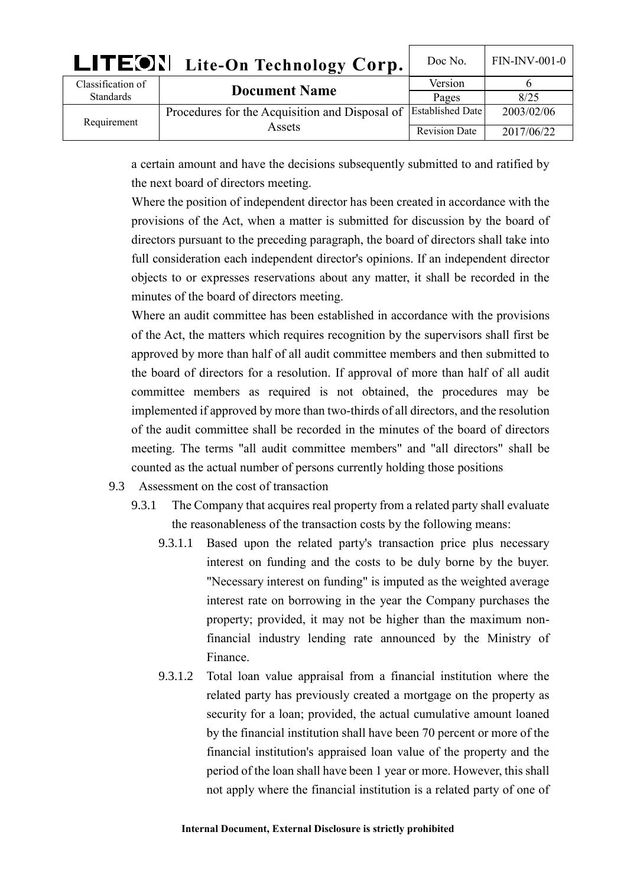| <b>LITEON</b> Lite-On Technology Corp. |                                                                 | Doc No.              | $FIN-INV-001-0$ |
|----------------------------------------|-----------------------------------------------------------------|----------------------|-----------------|
| Classification of                      | <b>Document Name</b>                                            | Version              |                 |
| <b>Standards</b>                       |                                                                 | Pages                | 8/25            |
| Requirement                            | Procedures for the Acquisition and Disposal of Established Date |                      | 2003/02/06      |
|                                        | Assets                                                          | <b>Revision Date</b> | 2017/06/22      |

a certain amount and have the decisions subsequently submitted to and ratified by the next board of directors meeting.

Where the position of independent director has been created in accordance with the provisions of the Act, when a matter is submitted for discussion by the board of directors pursuant to the preceding paragraph, the board of directors shall take into full consideration each independent director's opinions. If an independent director objects to or expresses reservations about any matter, it shall be recorded in the minutes of the board of directors meeting.

Where an audit committee has been established in accordance with the provisions of the Act, the matters which requires recognition by the supervisors shall first be approved by more than half of all audit committee members and then submitted to the board of directors for a resolution. If approval of more than half of all audit committee members as required is not obtained, the procedures may be implemented if approved by more than two-thirds of all directors, and the resolution of the audit committee shall be recorded in the minutes of the board of directors meeting. The terms "all audit committee members" and "all directors" shall be counted as the actual number of persons currently holding those positions

- 9.3 Assessment on the cost of transaction
	- 9.3.1 The Company that acquires real property from a related party shall evaluate the reasonableness of the transaction costs by the following means:
		- 9.3.1.1 Based upon the related party's transaction price plus necessary interest on funding and the costs to be duly borne by the buyer. "Necessary interest on funding" is imputed as the weighted average interest rate on borrowing in the year the Company purchases the property; provided, it may not be higher than the maximum nonfinancial industry lending rate announced by the Ministry of Finance.
		- 9.3.1.2 Total loan value appraisal from a financial institution where the related party has previously created a mortgage on the property as security for a loan; provided, the actual cumulative amount loaned by the financial institution shall have been 70 percent or more of the financial institution's appraised loan value of the property and the period of the loan shall have been 1 year or more. However, this shall not apply where the financial institution is a related party of one of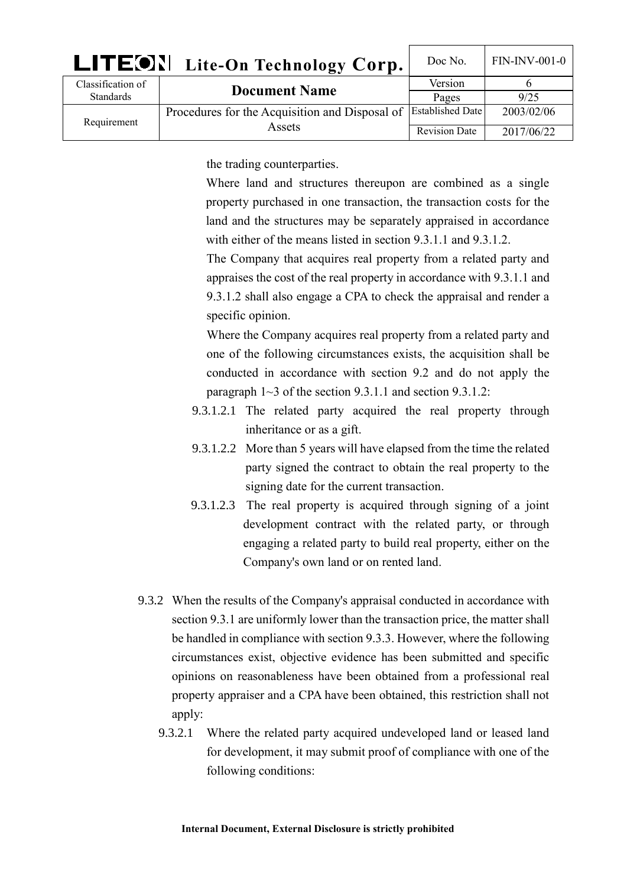| LITEON Lite-On Technology Corp. |                                                                   | Doc No.              | <b>FIN-INV-001-0</b> |
|---------------------------------|-------------------------------------------------------------------|----------------------|----------------------|
| Classification of               | <b>Document Name</b>                                              | Version              |                      |
| <b>Standards</b>                |                                                                   | Pages                | 9/25                 |
| Requirement                     | Procedures for the Acquisition and Disposal of   Established Date |                      | 2003/02/06           |
|                                 | Assets                                                            | <b>Revision Date</b> | 2017/06/22           |

the trading counterparties.

Where land and structures thereupon are combined as a single property purchased in one transaction, the transaction costs for the land and the structures may be separately appraised in accordance with either of the means listed in section 9.3.1.1 and 9.3.1.2.

The Company that acquires real property from a related party and appraises the cost of the real property in accordance with 9.3.1.1 and 9.3.1.2 shall also engage a CPA to check the appraisal and render a specific opinion.

Where the Company acquires real property from a related party and one of the following circumstances exists, the acquisition shall be conducted in accordance with section 9.2 and do not apply the paragraph  $1~3$  of the section 9.3.1.1 and section 9.3.1.2:

- 9.3.1.2.1 The related party acquired the real property through inheritance or as a gift.
- 9.3.1.2.2 More than 5 years will have elapsed from the time the related party signed the contract to obtain the real property to the signing date for the current transaction.
- 9.3.1.2.3 The real property is acquired through signing of a joint development contract with the related party, or through engaging a related party to build real property, either on the Company's own land or on rented land.
- 9.3.2 When the results of the Company's appraisal conducted in accordance with section 9.3.1 are uniformly lower than the transaction price, the matter shall be handled in compliance with section 9.3.3. However, where the following circumstances exist, objective evidence has been submitted and specific opinions on reasonableness have been obtained from a professional real property appraiser and a CPA have been obtained, this restriction shall not apply:
	- 9.3.2.1 Where the related party acquired undeveloped land or leased land for development, it may submit proof of compliance with one of the following conditions: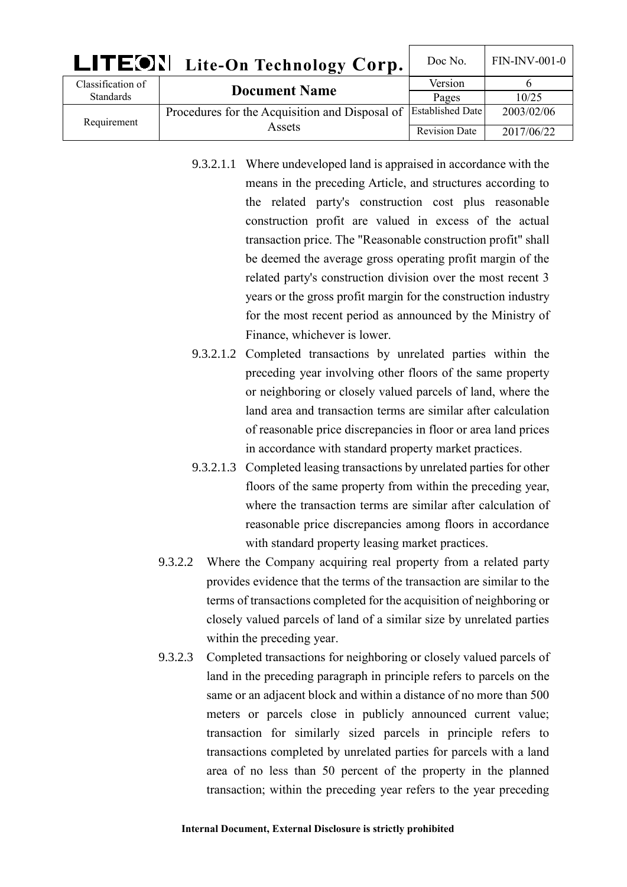| <b>LITEON</b> Lite-On Technology Corp. |                                                | Doc No.                 | <b>FIN-INV-001-0</b> |
|----------------------------------------|------------------------------------------------|-------------------------|----------------------|
| Classification of                      | <b>Document Name</b>                           | Version                 |                      |
| <b>Standards</b>                       |                                                | Pages                   | 10/25                |
| Requirement                            | Procedures for the Acquisition and Disposal of | <b>Established Date</b> | 2003/02/06           |
|                                        | Assets                                         | <b>Revision Date</b>    | 2017/06/22           |

- 9.3.2.1.1 Where undeveloped land is appraised in accordance with the means in the preceding Article, and structures according to the related party's construction cost plus reasonable construction profit are valued in excess of the actual transaction price. The "Reasonable construction profit" shall be deemed the average gross operating profit margin of the related party's construction division over the most recent 3 years or the gross profit margin for the construction industry for the most recent period as announced by the Ministry of Finance, whichever is lower.
- 9.3.2.1.2 Completed transactions by unrelated parties within the preceding year involving other floors of the same property or neighboring or closely valued parcels of land, where the land area and transaction terms are similar after calculation of reasonable price discrepancies in floor or area land prices in accordance with standard property market practices.
- 9.3.2.1.3 Completed leasing transactions by unrelated parties for other floors of the same property from within the preceding year, where the transaction terms are similar after calculation of reasonable price discrepancies among floors in accordance with standard property leasing market practices.
- 9.3.2.2 Where the Company acquiring real property from a related party provides evidence that the terms of the transaction are similar to the terms of transactions completed for the acquisition of neighboring or closely valued parcels of land of a similar size by unrelated parties within the preceding year.
- 9.3.2.3 Completed transactions for neighboring or closely valued parcels of land in the preceding paragraph in principle refers to parcels on the same or an adjacent block and within a distance of no more than 500 meters or parcels close in publicly announced current value; transaction for similarly sized parcels in principle refers to transactions completed by unrelated parties for parcels with a land area of no less than 50 percent of the property in the planned transaction; within the preceding year refers to the year preceding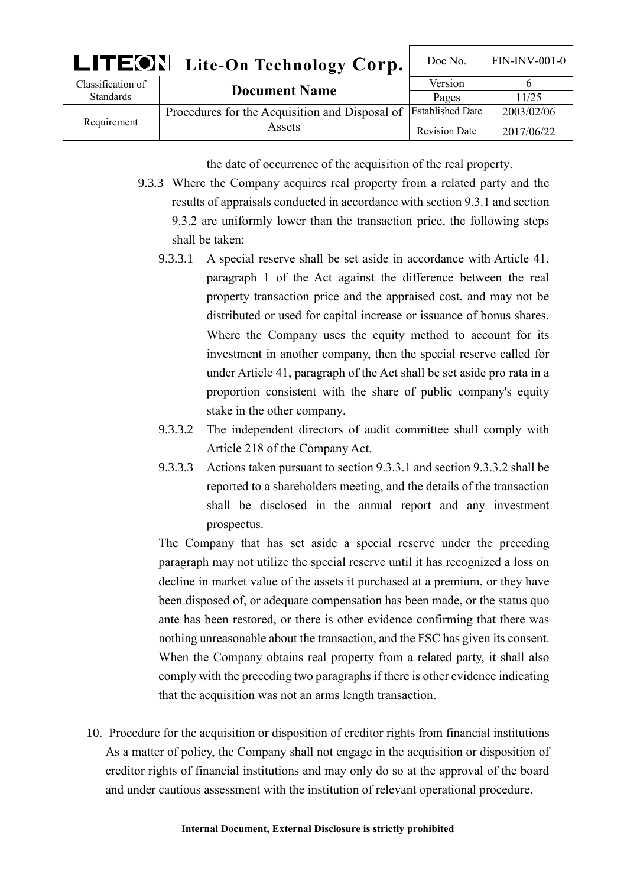| LITEON Lite-On Technology Corp. |                                                                 | Doc No.              | $FIN-INV-001-0$ |
|---------------------------------|-----------------------------------------------------------------|----------------------|-----------------|
| Classification of               | <b>Document Name</b>                                            | Version              |                 |
| <b>Standards</b>                |                                                                 | Pages                | 11/25           |
| Requirement                     | Procedures for the Acquisition and Disposal of Established Date |                      | 2003/02/06      |
|                                 | Assets                                                          | <b>Revision Date</b> | 2017/06/22      |

the date of occurrence of the acquisition of the real property.

- 9.3.3 Where the Company acquires real property from a related party and the results of appraisals conducted in accordance with section 9.3.1 and section 9.3.2 are uniformly lower than the transaction price, the following steps shall be taken:
	- 9.3.3.1 A special reserve shall be set aside in accordance with Article 41, paragraph 1 of the Act against the difference between the real property transaction price and the appraised cost, and may not be distributed or used for capital increase or issuance of bonus shares. Where the Company uses the equity method to account for its investment in another company, then the special reserve called for under Article 41, paragraph of the Act shall be set aside pro rata in a proportion consistent with the share of public company's equity stake in the other company.
	- 9.3.3.2 The independent directors of audit committee shall comply with Article 218 of the Company Act.
	- 9.3.3.3 Actions taken pursuant to section 9.3.3.1 and section 9.3.3.2 shall be reported to a shareholders meeting, and the details of the transaction shall be disclosed in the annual report and any investment prospectus.

The Company that has set aside a special reserve under the preceding paragraph may not utilize the special reserve until it has recognized a loss on decline in market value of the assets it purchased at a premium, or they have been disposed of, or adequate compensation has been made, or the status quo ante has been restored, or there is other evidence confirming that there was nothing unreasonable about the transaction, and the FSC has given its consent. When the Company obtains real property from a related party, it shall also comply with the preceding two paragraphs if there is other evidence indicating that the acquisition was not an arms length transaction.

10. Procedure for the acquisition or disposition of creditor rights from financial institutions As a matter of policy, the Company shall not engage in the acquisition or disposition of creditor rights of financial institutions and may only do so at the approval of the board and under cautious assessment with the institution of relevant operational procedure.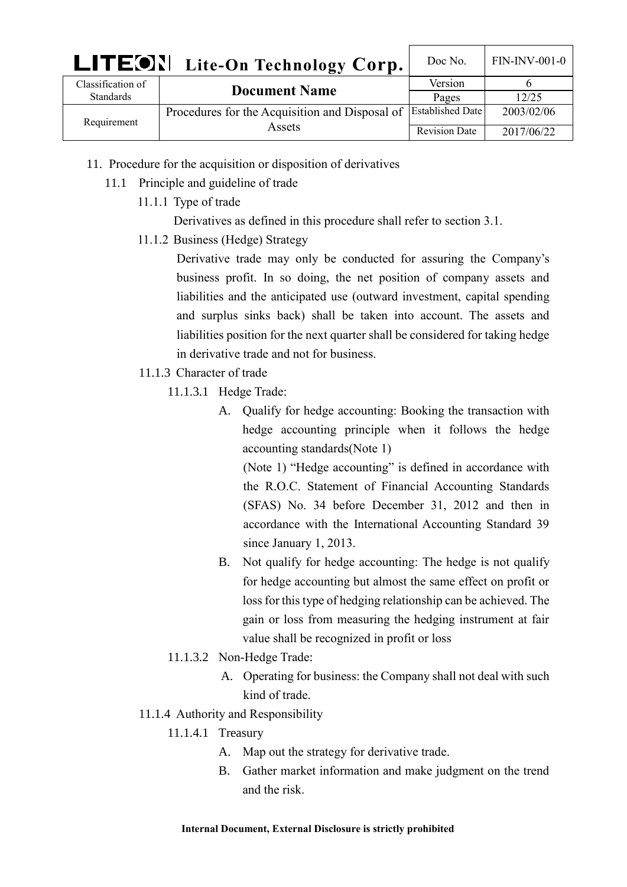| <b>LITEON</b> Lite-On Technology Corp. |                                                                 | Doc No.              | <b>FIN-INV-001-0</b> |
|----------------------------------------|-----------------------------------------------------------------|----------------------|----------------------|
| Classification of                      | <b>Document Name</b>                                            | Version              |                      |
| <b>Standards</b>                       |                                                                 | Pages                | 12/25                |
| Requirement                            | Procedures for the Acquisition and Disposal of Established Date |                      | 2003/02/06           |
|                                        | Assets                                                          | <b>Revision Date</b> | 2017/06/22           |

- 11. Procedure for the acquisition or disposition of derivatives
	- 11.1 Principle and guideline of trade
		- 11.1.1 Type of trade
			- Derivatives as defined in this procedure shall refer to section 3.1.
		- 11.1.2 Business (Hedge) Strategy

Derivative trade may only be conducted for assuring the Company's business profit. In so doing, the net position of company assets and liabilities and the anticipated use (outward investment, capital spending and surplus sinks back) shall be taken into account. The assets and liabilities position for the next quarter shall be considered for taking hedge in derivative trade and not for business.

- 11.1.3 Character of trade
	- 11.1.3.1 Hedge Trade:
		- A. Qualify for hedge accounting: Booking the transaction with hedge accounting principle when it follows the hedge accounting standards(Note 1)

(Note 1) "Hedge accounting" is defined in accordance with the R.O.C. Statement of Financial Accounting Standards (SFAS) No. 34 before December 31, 2012 and then in accordance with the International Accounting Standard 39 since January 1, 2013.

- B. Not qualify for hedge accounting: The hedge is not qualify for hedge accounting but almost the same effect on profit or loss for this type of hedging relationship can be achieved. The gain or loss from measuring the hedging instrument at fair value shall be recognized in profit or loss
- 11.1.3.2 Non-Hedge Trade:
	- A. Operating for business: the Company shall not deal with such kind of trade.
- 11.1.4 Authority and Responsibility
	- 11.1.4.1 Treasury
		- A. Map out the strategy for derivative trade.
		- B. Gather market information and make judgment on the trend and the risk.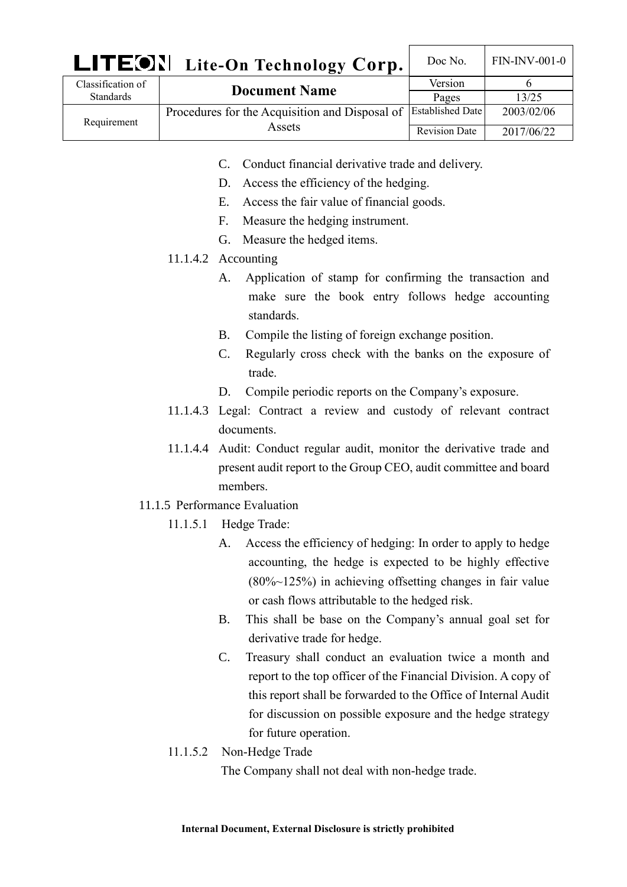| <b>LITEON</b> Lite-On Technology Corp. |                                                                   | Doc No.              | <b>FIN-INV-001-0</b> |
|----------------------------------------|-------------------------------------------------------------------|----------------------|----------------------|
| Classification of                      | <b>Document Name</b>                                              | Version              |                      |
| <b>Standards</b>                       |                                                                   | Pages                | 13/25                |
| Requirement                            | Procedures for the Acquisition and Disposal of   Established Date |                      | 2003/02/06           |
|                                        | Assets                                                            | <b>Revision Date</b> | 2017/06/22           |

- C. Conduct financial derivative trade and delivery.
- D. Access the efficiency of the hedging.
- E. Access the fair value of financial goods.
- F. Measure the hedging instrument.
- G. Measure the hedged items.

## 11.1.4.2 Accounting

- A. Application of stamp for confirming the transaction and make sure the book entry follows hedge accounting standards.
- B. Compile the listing of foreign exchange position.
- C. Regularly cross check with the banks on the exposure of trade.
- D. Compile periodic reports on the Company's exposure.
- 11.1.4.3 Legal: Contract a review and custody of relevant contract documents.
- 11.1.4.4 Audit: Conduct regular audit, monitor the derivative trade and present audit report to the Group CEO, audit committee and board members.
- 11.1.5 Performance Evaluation
	- 11.1.5.1 Hedge Trade:
		- A. Access the efficiency of hedging: In order to apply to hedge accounting, the hedge is expected to be highly effective (80%~125%) in achieving offsetting changes in fair value or cash flows attributable to the hedged risk.
		- B. This shall be base on the Company's annual goal set for derivative trade for hedge.
		- C. Treasury shall conduct an evaluation twice a month and report to the top officer of the Financial Division. A copy of this report shall be forwarded to the Office of Internal Audit for discussion on possible exposure and the hedge strategy for future operation.
	- 11.1.5.2 Non-Hedge Trade

The Company shall not deal with non-hedge trade.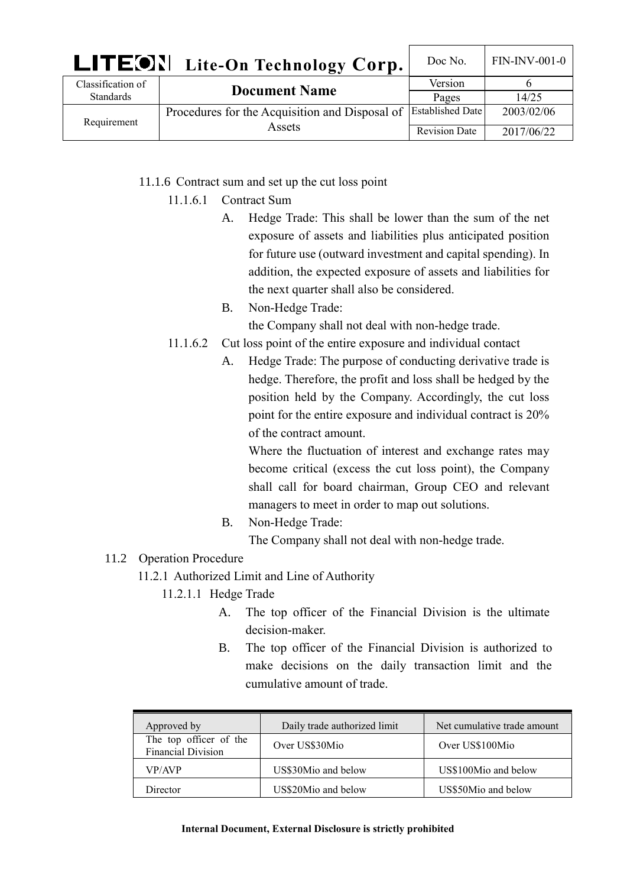| LITEON Lite-On Technology Corp. |                                                | Doc No.                 | $FIN-INV-001-0$ |
|---------------------------------|------------------------------------------------|-------------------------|-----------------|
| Classification of               | <b>Document Name</b>                           | Version                 |                 |
| <b>Standards</b>                |                                                | Pages                   | 14/25           |
| Requirement                     | Procedures for the Acquisition and Disposal of | <b>Established Date</b> | 2003/02/06      |
|                                 | Assets                                         | <b>Revision Date</b>    | 2017/06/22      |

## 11.1.6 Contract sum and set up the cut loss point

- 11.1.6.1 Contract Sum
	- A. Hedge Trade: This shall be lower than the sum of the net exposure of assets and liabilities plus anticipated position for future use (outward investment and capital spending). In addition, the expected exposure of assets and liabilities for the next quarter shall also be considered.
	- B. Non-Hedge Trade: the Company shall not deal with non-hedge trade.
- 11.1.6.2 Cut loss point of the entire exposure and individual contact
	- A. Hedge Trade: The purpose of conducting derivative trade is hedge. Therefore, the profit and loss shall be hedged by the position held by the Company. Accordingly, the cut loss point for the entire exposure and individual contract is 20% of the contract amount.

Where the fluctuation of interest and exchange rates may become critical (excess the cut loss point), the Company shall call for board chairman, Group CEO and relevant managers to meet in order to map out solutions.

B. Non-Hedge Trade:

The Company shall not deal with non-hedge trade.

- 11.2 Operation Procedure
	- 11.2.1 Authorized Limit and Line of Authority
		- 11.2.1.1 Hedge Trade
			- A. The top officer of the Financial Division is the ultimate decision-maker.
			- B. The top officer of the Financial Division is authorized to make decisions on the daily transaction limit and the cumulative amount of trade.

| Approved by                                         | Daily trade authorized limit | Net cumulative trade amount |
|-----------------------------------------------------|------------------------------|-----------------------------|
| The top officer of the<br><b>Financial Division</b> | Over US\$30Mio               | Over US\$100Mio             |
| VP/AVP                                              | US\$30Mio and below          | US\$100Mio and below        |
| Director                                            | US\$20Mio and below          | US\$50Mio and below         |

## **Internal Document, External Disclosure is strictly prohibited**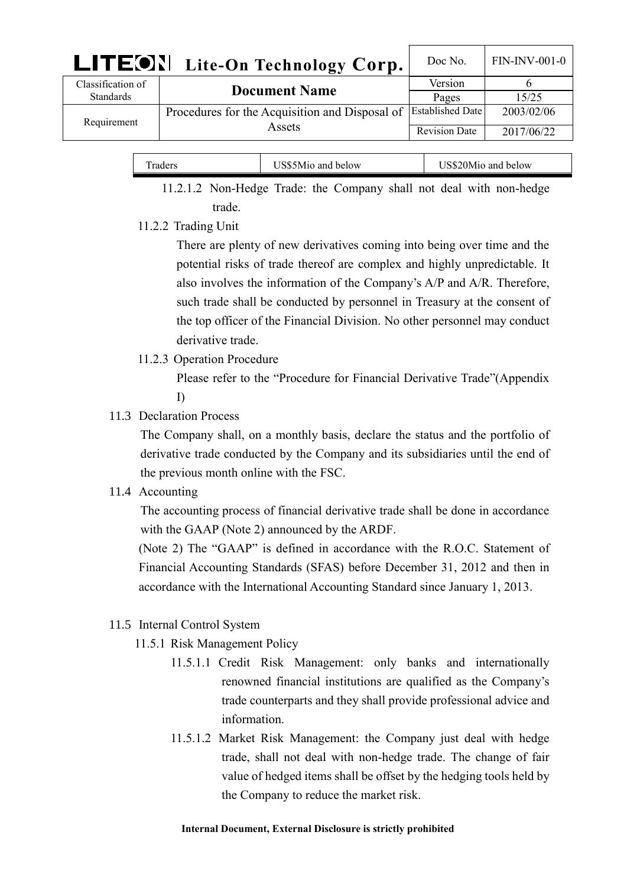|                   | LITEON Lite-On Technology Corp.                | Doc No.                 | <b>FIN-INV-001-0</b> |
|-------------------|------------------------------------------------|-------------------------|----------------------|
| Classification of | <b>Document Name</b>                           | Version                 |                      |
| <b>Standards</b>  |                                                | Pages                   | 15/25                |
| Requirement       | Procedures for the Acquisition and Disposal of | <b>Established Date</b> | 2003/02/06           |
|                   | Assets                                         | <b>Revision Date</b>    | 2017/06/22           |
|                   |                                                |                         |                      |

| raders | <b>IS\$5Mio</b> and below | US\$20Mio and below |
|--------|---------------------------|---------------------|
|        |                           |                     |

11.2.1.2 Non-Hedge Trade: the Company shall not deal with non-hedge trade.

## 11.2.2 Trading Unit

There are plenty of new derivatives coming into being over time and the potential risks of trade thereof are complex and highly unpredictable. It also involves the information of the Company's A/P and A/R. Therefore, such trade shall be conducted by personnel in Treasury at the consent of the top officer of the Financial Division. No other personnel may conduct derivative trade.

11.2.3 Operation Procedure

Please refer to the "Procedure for Financial Derivative Trade"(Appendix I)

11.3 Declaration Process

The Company shall, on a monthly basis, declare the status and the portfolio of derivative trade conducted by the Company and its subsidiaries until the end of the previous month online with the FSC.

11.4 Accounting

The accounting process of financial derivative trade shall be done in accordance with the GAAP (Note 2) announced by the ARDF.

(Note 2) The "GAAP" is defined in accordance with the R.O.C. Statement of Financial Accounting Standards (SFAS) before December 31, 2012 and then in accordance with the International Accounting Standard since January 1, 2013.

- 11.5 Internal Control System
	- 11.5.1 Risk Management Policy
		- 11.5.1.1 Credit Risk Management: only banks and internationally renowned financial institutions are qualified as the Company's trade counterparts and they shall provide professional advice and information.
		- 11.5.1.2 Market Risk Management: the Company just deal with hedge trade, shall not deal with non-hedge trade. The change of fair value of hedged items shall be offset by the hedging tools held by the Company to reduce the market risk.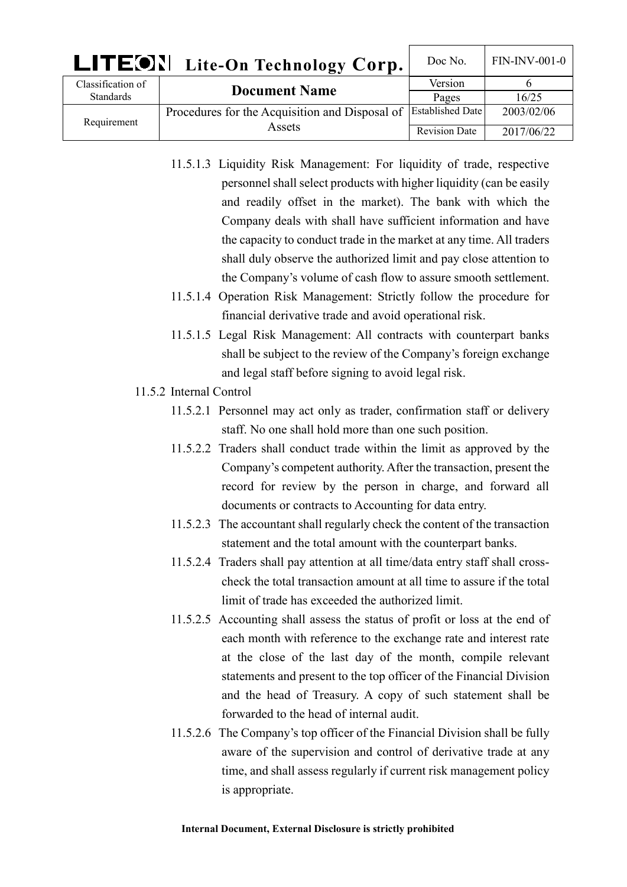| <b>LITEON</b> Lite-On Technology Corp. |                                                | Doc No.                 | <b>FIN-INV-001-0</b> |
|----------------------------------------|------------------------------------------------|-------------------------|----------------------|
| Classification of                      | <b>Document Name</b>                           | Version                 |                      |
| <b>Standards</b>                       |                                                | Pages                   | 16/25                |
| Requirement                            | Procedures for the Acquisition and Disposal of | <b>Established Date</b> | 2003/02/06           |
|                                        | Assets                                         | <b>Revision Date</b>    | 2017/06/22           |

- 11.5.1.3 Liquidity Risk Management: For liquidity of trade, respective personnel shall select products with higher liquidity (can be easily and readily offset in the market). The bank with which the Company deals with shall have sufficient information and have the capacity to conduct trade in the market at any time. All traders shall duly observe the authorized limit and pay close attention to the Company's volume of cash flow to assure smooth settlement.
- 11.5.1.4 Operation Risk Management: Strictly follow the procedure for financial derivative trade and avoid operational risk.
- 11.5.1.5 Legal Risk Management: All contracts with counterpart banks shall be subject to the review of the Company's foreign exchange and legal staff before signing to avoid legal risk.
- 11.5.2 Internal Control
	- 11.5.2.1 Personnel may act only as trader, confirmation staff or delivery staff. No one shall hold more than one such position.
	- 11.5.2.2 Traders shall conduct trade within the limit as approved by the Company's competent authority. After the transaction, present the record for review by the person in charge, and forward all documents or contracts to Accounting for data entry.
	- 11.5.2.3 The accountant shall regularly check the content of the transaction statement and the total amount with the counterpart banks.
	- 11.5.2.4 Traders shall pay attention at all time/data entry staff shall crosscheck the total transaction amount at all time to assure if the total limit of trade has exceeded the authorized limit.
	- 11.5.2.5 Accounting shall assess the status of profit or loss at the end of each month with reference to the exchange rate and interest rate at the close of the last day of the month, compile relevant statements and present to the top officer of the Financial Division and the head of Treasury. A copy of such statement shall be forwarded to the head of internal audit.
	- 11.5.2.6 The Company's top officer of the Financial Division shall be fully aware of the supervision and control of derivative trade at any time, and shall assess regularly if current risk management policy is appropriate.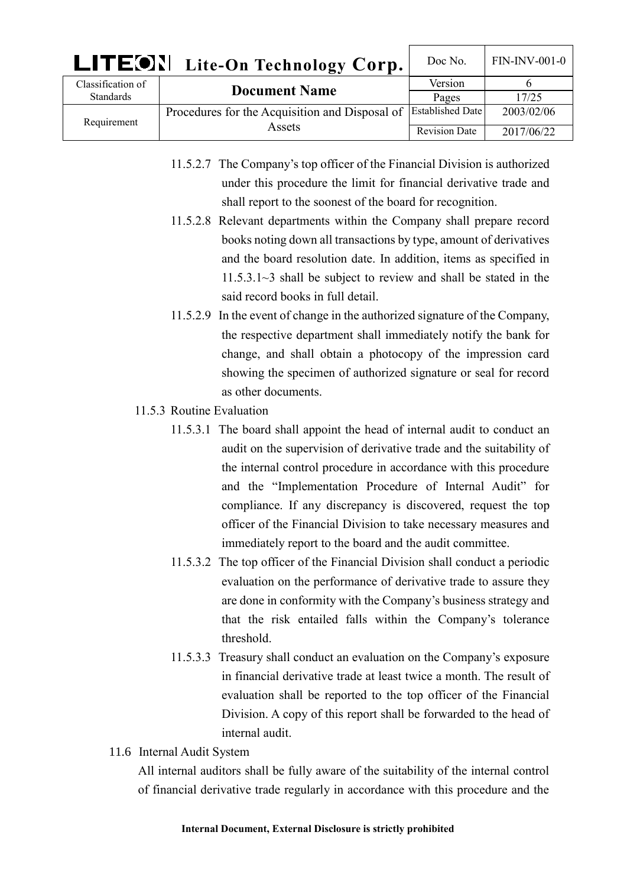| LITEON Lite-On Technology Corp. |                                                                   | Doc No.              | <b>FIN-INV-001-0</b> |
|---------------------------------|-------------------------------------------------------------------|----------------------|----------------------|
| Classification of               | <b>Document Name</b>                                              | Version              |                      |
| <b>Standards</b>                |                                                                   | Pages                | 17/25                |
| Requirement                     | Procedures for the Acquisition and Disposal of   Established Date |                      | 2003/02/06           |
|                                 | Assets                                                            | <b>Revision Date</b> | 2017/06/22           |

- 11.5.2.7 The Company's top officer of the Financial Division is authorized under this procedure the limit for financial derivative trade and shall report to the soonest of the board for recognition.
- 11.5.2.8 Relevant departments within the Company shall prepare record books noting down all transactions by type, amount of derivatives and the board resolution date. In addition, items as specified in 11.5.3.1~3 shall be subject to review and shall be stated in the said record books in full detail.
- 11.5.2.9 In the event of change in the authorized signature of the Company, the respective department shall immediately notify the bank for change, and shall obtain a photocopy of the impression card showing the specimen of authorized signature or seal for record as other documents.
- 11.5.3 Routine Evaluation
	- 11.5.3.1 The board shall appoint the head of internal audit to conduct an audit on the supervision of derivative trade and the suitability of the internal control procedure in accordance with this procedure and the "Implementation Procedure of Internal Audit" for compliance. If any discrepancy is discovered, request the top officer of the Financial Division to take necessary measures and immediately report to the board and the audit committee.
	- 11.5.3.2 The top officer of the Financial Division shall conduct a periodic evaluation on the performance of derivative trade to assure they are done in conformity with the Company's business strategy and that the risk entailed falls within the Company's tolerance threshold.
	- 11.5.3.3 Treasury shall conduct an evaluation on the Company's exposure in financial derivative trade at least twice a month. The result of evaluation shall be reported to the top officer of the Financial Division. A copy of this report shall be forwarded to the head of internal audit.
- 11.6 Internal Audit System

All internal auditors shall be fully aware of the suitability of the internal control of financial derivative trade regularly in accordance with this procedure and the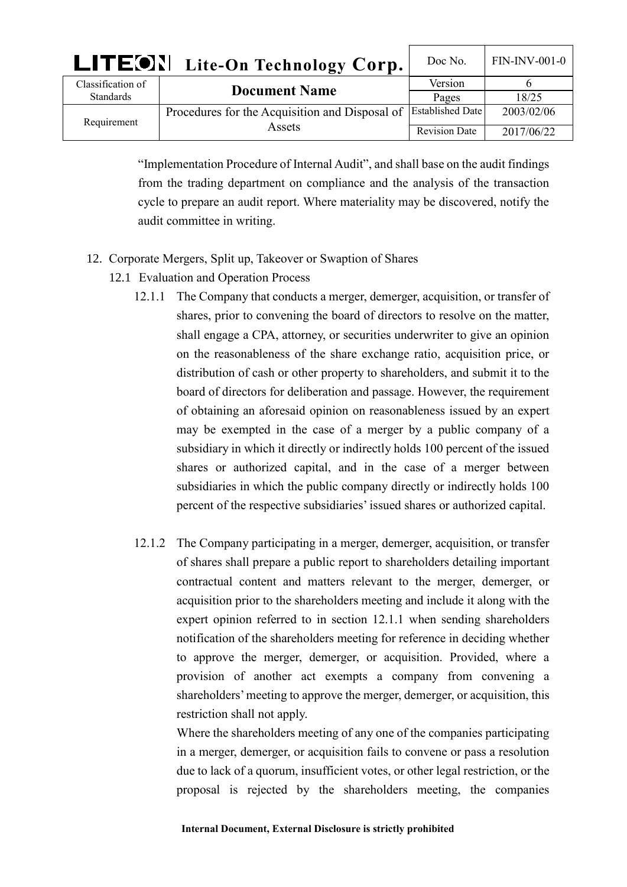| LITEON Lite-On Technology Corp. |                                                | Doc No.                 | $FIN-INV-001-0$ |
|---------------------------------|------------------------------------------------|-------------------------|-----------------|
| Classification of               | <b>Document Name</b>                           | Version                 |                 |
| <b>Standards</b>                |                                                | Pages                   | 18/25           |
| Requirement                     | Procedures for the Acquisition and Disposal of | <b>Established Date</b> | 2003/02/06      |
|                                 | Assets                                         | <b>Revision Date</b>    | 2017/06/22      |

"Implementation Procedure of Internal Audit", and shall base on the audit findings from the trading department on compliance and the analysis of the transaction cycle to prepare an audit report. Where materiality may be discovered, notify the audit committee in writing.

- 12. Corporate Mergers, Split up, Takeover or Swaption of Shares
	- 12.1 Evaluation and Operation Process
		- 12.1.1 The Company that conducts a merger, demerger, acquisition, or transfer of shares, prior to convening the board of directors to resolve on the matter, shall engage a CPA, attorney, or securities underwriter to give an opinion on the reasonableness of the share exchange ratio, acquisition price, or distribution of cash or other property to shareholders, and submit it to the board of directors for deliberation and passage. However, the requirement of obtaining an aforesaid opinion on reasonableness issued by an expert may be exempted in the case of a merger by a public company of a subsidiary in which it directly or indirectly holds 100 percent of the issued shares or authorized capital, and in the case of a merger between subsidiaries in which the public company directly or indirectly holds 100 percent of the respective subsidiaries' issued shares or authorized capital.
		- 12.1.2 The Company participating in a merger, demerger, acquisition, or transfer of shares shall prepare a public report to shareholders detailing important contractual content and matters relevant to the merger, demerger, or acquisition prior to the shareholders meeting and include it along with the expert opinion referred to in section 12.1.1 when sending shareholders notification of the shareholders meeting for reference in deciding whether to approve the merger, demerger, or acquisition. Provided, where a provision of another act exempts a company from convening a shareholders' meeting to approve the merger, demerger, or acquisition, this restriction shall not apply.

Where the shareholders meeting of any one of the companies participating in a merger, demerger, or acquisition fails to convene or pass a resolution due to lack of a quorum, insufficient votes, or other legal restriction, or the proposal is rejected by the shareholders meeting, the companies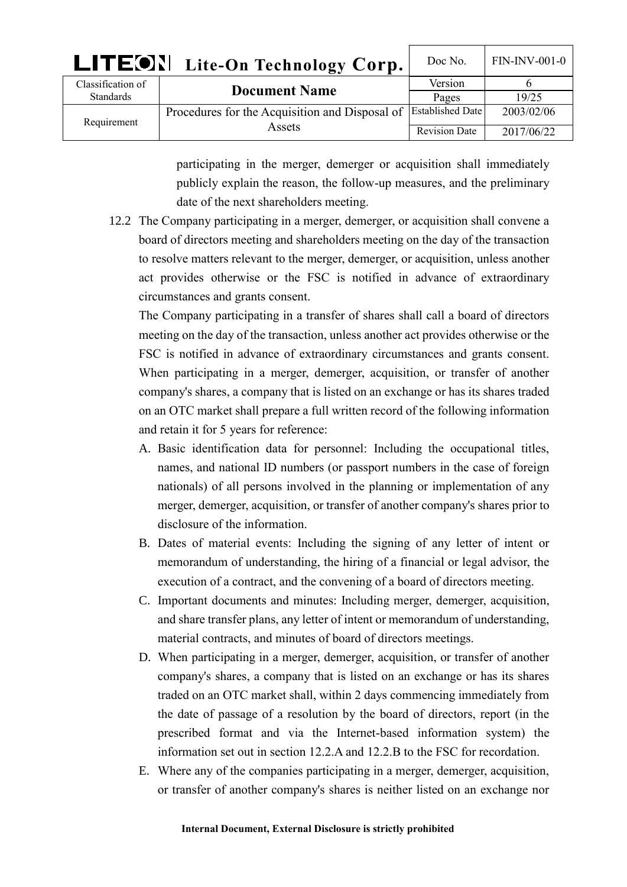| LITEON Lite-On Technology Corp. |                                                | Doc No.                 | <b>FIN-INV-001-0</b> |
|---------------------------------|------------------------------------------------|-------------------------|----------------------|
| Classification of               | <b>Document Name</b>                           | Version                 |                      |
| <b>Standards</b>                |                                                | Pages                   | 19/25                |
| Requirement                     | Procedures for the Acquisition and Disposal of | <b>Established Date</b> | 2003/02/06           |
|                                 | Assets                                         | <b>Revision Date</b>    | 2017/06/22           |

participating in the merger, demerger or acquisition shall immediately publicly explain the reason, the follow-up measures, and the preliminary date of the next shareholders meeting.

12.2 The Company participating in a merger, demerger, or acquisition shall convene a board of directors meeting and shareholders meeting on the day of the transaction to resolve matters relevant to the merger, demerger, or acquisition, unless another act provides otherwise or the FSC is notified in advance of extraordinary circumstances and grants consent.

The Company participating in a transfer of shares shall call a board of directors meeting on the day of the transaction, unless another act provides otherwise or the FSC is notified in advance of extraordinary circumstances and grants consent. When participating in a merger, demerger, acquisition, or transfer of another company's shares, a company that is listed on an exchange or has its shares traded on an OTC market shall prepare a full written record of the following information and retain it for 5 years for reference:

- A. Basic identification data for personnel: Including the occupational titles, names, and national ID numbers (or passport numbers in the case of foreign nationals) of all persons involved in the planning or implementation of any merger, demerger, acquisition, or transfer of another company's shares prior to disclosure of the information.
- B. Dates of material events: Including the signing of any letter of intent or memorandum of understanding, the hiring of a financial or legal advisor, the execution of a contract, and the convening of a board of directors meeting.
- C. Important documents and minutes: Including merger, demerger, acquisition, and share transfer plans, any letter of intent or memorandum of understanding, material contracts, and minutes of board of directors meetings.
- D. When participating in a merger, demerger, acquisition, or transfer of another company's shares, a company that is listed on an exchange or has its shares traded on an OTC market shall, within 2 days commencing immediately from the date of passage of a resolution by the board of directors, report (in the prescribed format and via the Internet-based information system) the information set out in section 12.2.A and 12.2.B to the FSC for recordation.
- E. Where any of the companies participating in a merger, demerger, acquisition, or transfer of another company's shares is neither listed on an exchange nor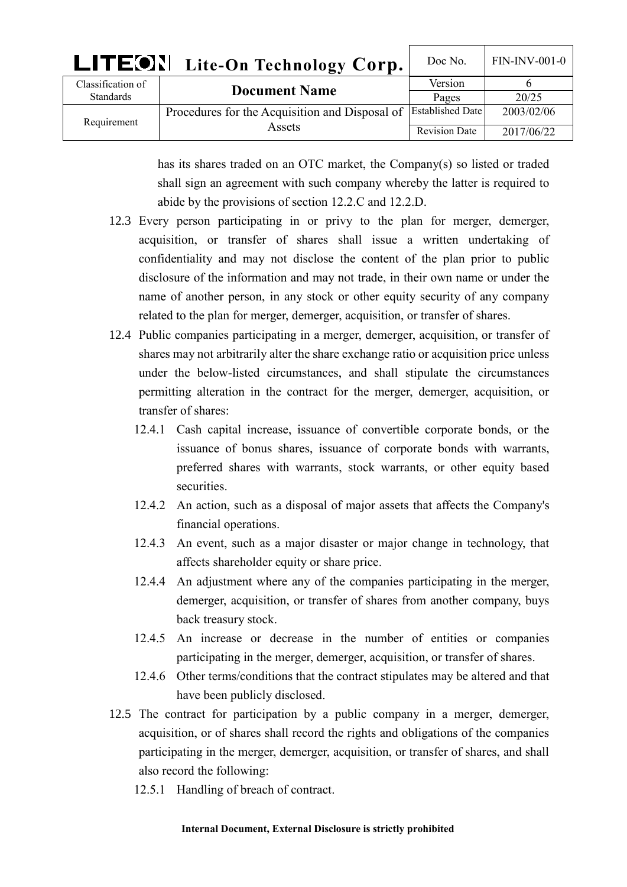| LITEON Lite-On Technology Corp. |                                                | Doc No.                 | $FIN-INV-001-0$ |
|---------------------------------|------------------------------------------------|-------------------------|-----------------|
| Classification of               | <b>Document Name</b>                           | Version                 |                 |
| <b>Standards</b>                |                                                | Pages                   | 20/25           |
| Requirement                     | Procedures for the Acquisition and Disposal of | <b>Established Date</b> | 2003/02/06      |
|                                 | Assets                                         | <b>Revision Date</b>    | 2017/06/22      |

has its shares traded on an OTC market, the Company(s) so listed or traded shall sign an agreement with such company whereby the latter is required to abide by the provisions of section 12.2.C and 12.2.D.

- 12.3 Every person participating in or privy to the plan for merger, demerger, acquisition, or transfer of shares shall issue a written undertaking of confidentiality and may not disclose the content of the plan prior to public disclosure of the information and may not trade, in their own name or under the name of another person, in any stock or other equity security of any company related to the plan for merger, demerger, acquisition, or transfer of shares.
- 12.4 Public companies participating in a merger, demerger, acquisition, or transfer of shares may not arbitrarily alter the share exchange ratio or acquisition price unless under the below-listed circumstances, and shall stipulate the circumstances permitting alteration in the contract for the merger, demerger, acquisition, or transfer of shares:
	- 12.4.1 Cash capital increase, issuance of convertible corporate bonds, or the issuance of bonus shares, issuance of corporate bonds with warrants, preferred shares with warrants, stock warrants, or other equity based securities.
	- 12.4.2 An action, such as a disposal of major assets that affects the Company's financial operations.
	- 12.4.3 An event, such as a major disaster or major change in technology, that affects shareholder equity or share price.
	- 12.4.4 An adjustment where any of the companies participating in the merger, demerger, acquisition, or transfer of shares from another company, buys back treasury stock.
	- 12.4.5 An increase or decrease in the number of entities or companies participating in the merger, demerger, acquisition, or transfer of shares.
	- 12.4.6 Other terms/conditions that the contract stipulates may be altered and that have been publicly disclosed.
- 12.5 The contract for participation by a public company in a merger, demerger, acquisition, or of shares shall record the rights and obligations of the companies participating in the merger, demerger, acquisition, or transfer of shares, and shall also record the following:
	- 12.5.1 Handling of breach of contract.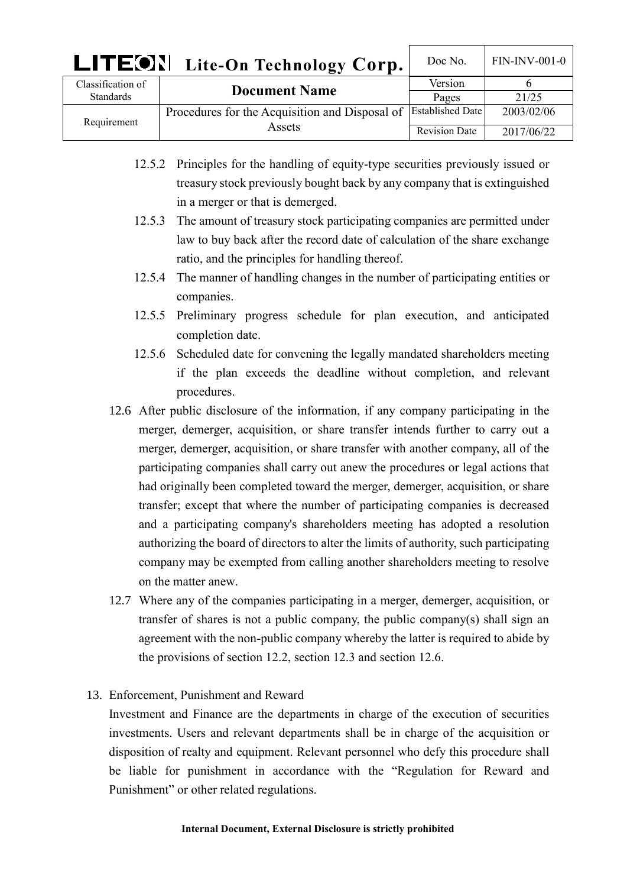| <b>LITEON</b> Lite-On Technology Corp. |                                                | Doc No.                 | <b>FIN-INV-001-0</b> |
|----------------------------------------|------------------------------------------------|-------------------------|----------------------|
| Classification of                      | <b>Document Name</b>                           | Version                 |                      |
| <b>Standards</b>                       |                                                | Pages                   | 21/25                |
| Requirement                            | Procedures for the Acquisition and Disposal of | <b>Established Date</b> | 2003/02/06           |
|                                        | Assets                                         | <b>Revision Date</b>    | 2017/06/22           |

- 12.5.2 Principles for the handling of equity-type securities previously issued or treasury stock previously bought back by any company that is extinguished in a merger or that is demerged.
- 12.5.3 The amount of treasury stock participating companies are permitted under law to buy back after the record date of calculation of the share exchange ratio, and the principles for handling thereof.
- 12.5.4 The manner of handling changes in the number of participating entities or companies.
- 12.5.5 Preliminary progress schedule for plan execution, and anticipated completion date.
- 12.5.6 Scheduled date for convening the legally mandated shareholders meeting if the plan exceeds the deadline without completion, and relevant procedures.
- 12.6 After public disclosure of the information, if any company participating in the merger, demerger, acquisition, or share transfer intends further to carry out a merger, demerger, acquisition, or share transfer with another company, all of the participating companies shall carry out anew the procedures or legal actions that had originally been completed toward the merger, demerger, acquisition, or share transfer; except that where the number of participating companies is decreased and a participating company's shareholders meeting has adopted a resolution authorizing the board of directors to alter the limits of authority, such participating company may be exempted from calling another shareholders meeting to resolve on the matter anew.
- 12.7 Where any of the companies participating in a merger, demerger, acquisition, or transfer of shares is not a public company, the public company(s) shall sign an agreement with the non-public company whereby the latter is required to abide by the provisions of section 12.2, section 12.3 and section 12.6.
- 13. Enforcement, Punishment and Reward

Investment and Finance are the departments in charge of the execution of securities investments. Users and relevant departments shall be in charge of the acquisition or disposition of realty and equipment. Relevant personnel who defy this procedure shall be liable for punishment in accordance with the "Regulation for Reward and Punishment" or other related regulations.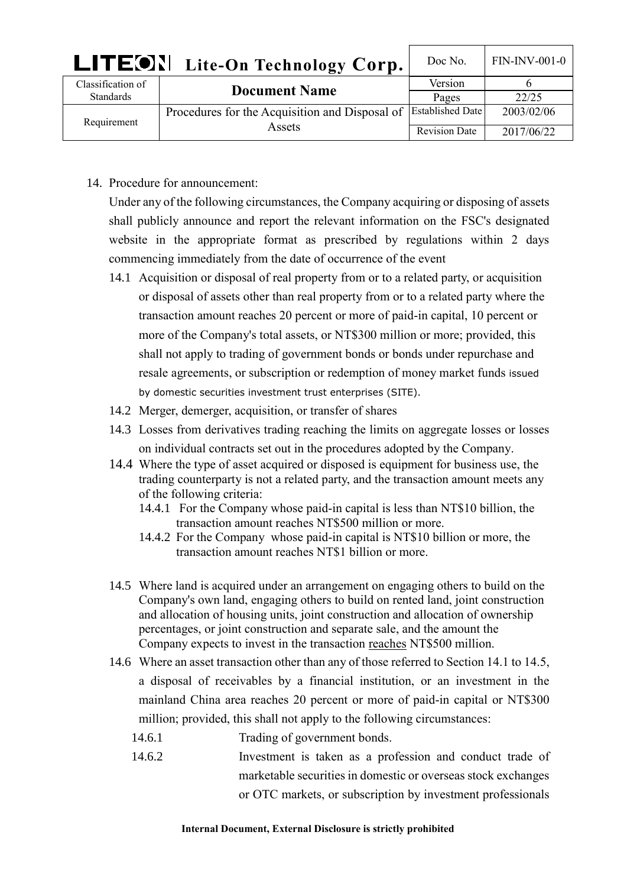| <b>LITEON</b> Lite-On Technology Corp. |                                                          | Doc No.                 | <b>FIN-INV-001-0</b> |
|----------------------------------------|----------------------------------------------------------|-------------------------|----------------------|
| Classification of<br><b>Standards</b>  | <b>Document Name</b>                                     | Version                 |                      |
|                                        |                                                          | Pages                   | 22/25                |
| Requirement                            | Procedures for the Acquisition and Disposal of<br>Assets | <b>Established Date</b> | 2003/02/06           |
|                                        |                                                          | <b>Revision Date</b>    | 2017/06/22           |

14. Procedure for announcement:

Under any of the following circumstances, the Company acquiring or disposing of assets shall publicly announce and report the relevant information on the FSC's designated website in the appropriate format as prescribed by regulations within 2 days commencing immediately from the date of occurrence of the event

- 14.1 Acquisition or disposal of real property from or to a related party, or acquisition or disposal of assets other than real property from or to a related party where the transaction amount reaches 20 percent or more of paid-in capital, 10 percent or more of the Company's total assets, or NT\$300 million or more; provided, this shall not apply to trading of government bonds or bonds under repurchase and resale agreements, or subscription or redemption of money market funds issued by domestic securities investment trust enterprises (SITE).
- 14.2 Merger, demerger, acquisition, or transfer of shares
- 14.3 Losses from derivatives trading reaching the limits on aggregate losses or losses on individual contracts set out in the procedures adopted by the Company.
- 14.4 Where the type of asset acquired or disposed is equipment for business use, the trading counterparty is not a related party, and the transaction amount meets any of the following criteria:
	- 14.4.1 For the Company whose paid-in capital is less than NT\$10 billion, the transaction amount reaches NT\$500 million or more.
	- 14.4.2 For the Company whose paid-in capital is NT\$10 billion or more, the transaction amount reaches NT\$1 billion or more.
- 14.5 Where land is acquired under an arrangement on engaging others to build on the Company's own land, engaging others to build on rented land, joint construction and allocation of housing units, joint construction and allocation of ownership percentages, or joint construction and separate sale, and the amount the Company expects to invest in the transaction reaches NT\$500 million.
- 14.6 Where an asset transaction other than any of those referred to Section 14.1 to 14.5, a disposal of receivables by a financial institution, or an investment in the mainland China area reaches 20 percent or more of paid-in capital or NT\$300 million; provided, this shall not apply to the following circumstances:
	- 14.6.1 Trading of government bonds.
	- 14.6.2 Investment is taken as a profession and conduct trade of marketable securities in domestic or overseas stock exchanges or OTC markets, or subscription by investment professionals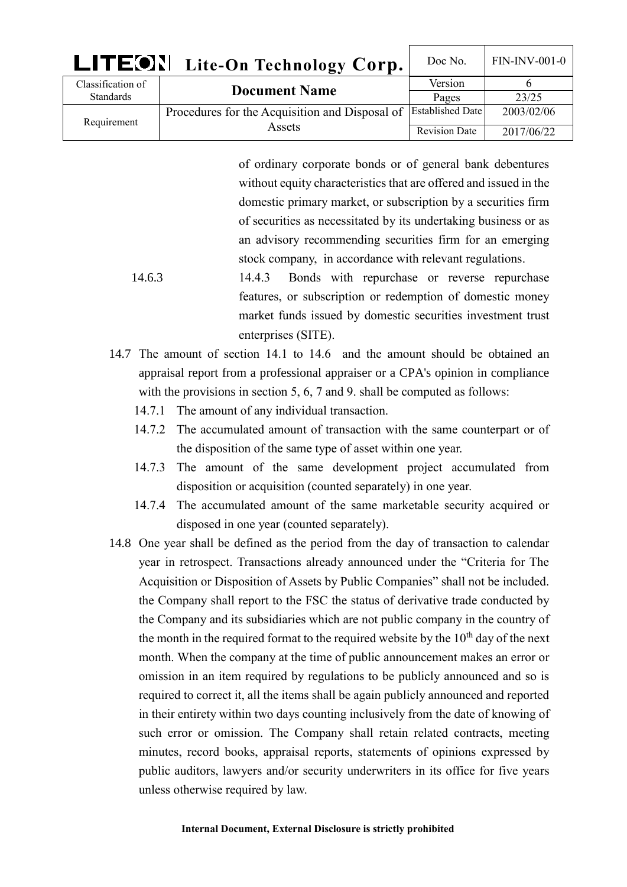| LITEON Lite-On Technology Corp.       |                                                                           | Doc No.              | $FIN-INV-001-0$ |
|---------------------------------------|---------------------------------------------------------------------------|----------------------|-----------------|
| Classification of<br><b>Standards</b> | <b>Document Name</b>                                                      | Version              |                 |
|                                       |                                                                           | Pages                | 23/25           |
| Requirement                           | Procedures for the Acquisition and Disposal of Established Date<br>Assets |                      | 2003/02/06      |
|                                       |                                                                           | <b>Revision Date</b> | 2017/06/22      |

of ordinary corporate bonds or of general bank debentures without equity characteristics that are offered and issued in the domestic primary market, or subscription by a securities firm of securities as necessitated by its undertaking business or as an advisory recommending securities firm for an emerging stock company, in accordance with relevant regulations.

- 14.6.3 14.4.3 Bonds with repurchase or reverse repurchase features, or subscription or redemption of domestic money market funds issued by domestic securities investment trust enterprises (SITE).
- 14.7 The amount of section 14.1 to 14.6 and the amount should be obtained an appraisal report from a professional appraiser or a CPA's opinion in compliance with the provisions in section 5, 6, 7 and 9. shall be computed as follows:
	- 14.7.1 The amount of any individual transaction.
	- 14.7.2 The accumulated amount of transaction with the same counterpart or of the disposition of the same type of asset within one year.
	- 14.7.3 The amount of the same development project accumulated from disposition or acquisition (counted separately) in one year.
	- 14.7.4 The accumulated amount of the same marketable security acquired or disposed in one year (counted separately).
- 14.8 One year shall be defined as the period from the day of transaction to calendar year in retrospect. Transactions already announced under the "Criteria for The Acquisition or Disposition of Assets by Public Companies" shall not be included. the Company shall report to the FSC the status of derivative trade conducted by the Company and its subsidiaries which are not public company in the country of the month in the required format to the required website by the  $10<sup>th</sup>$  day of the next month. When the company at the time of public announcement makes an error or omission in an item required by regulations to be publicly announced and so is required to correct it, all the items shall be again publicly announced and reported in their entirety within two days counting inclusively from the date of knowing of such error or omission. The Company shall retain related contracts, meeting minutes, record books, appraisal reports, statements of opinions expressed by public auditors, lawyers and/or security underwriters in its office for five years unless otherwise required by law.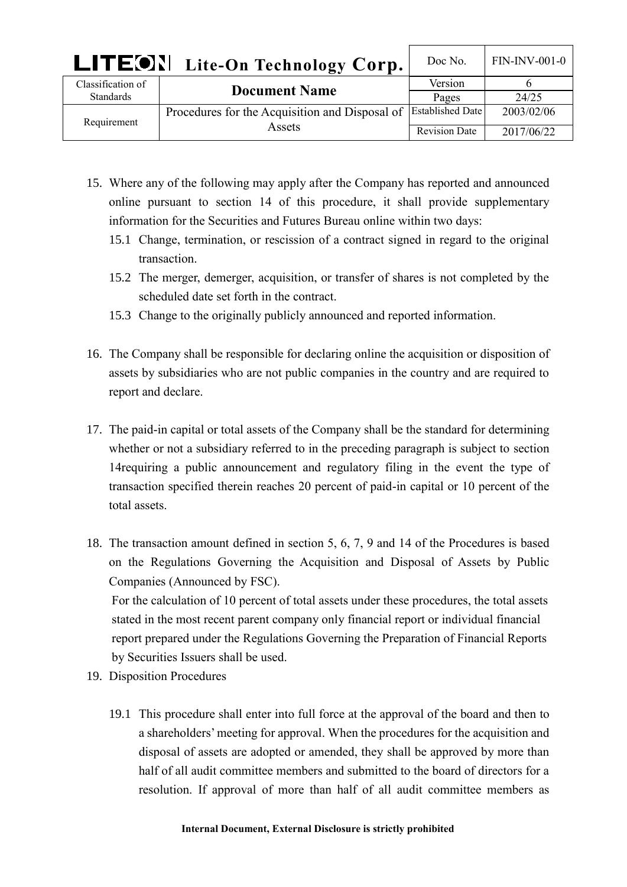| LITEON Lite-On Technology Corp.       |                                                          | Doc No.                 | <b>FIN-INV-001-0</b> |
|---------------------------------------|----------------------------------------------------------|-------------------------|----------------------|
| Classification of<br><b>Standards</b> | <b>Document Name</b>                                     | Version                 |                      |
|                                       |                                                          | Pages                   | 24/25                |
| Requirement                           | Procedures for the Acquisition and Disposal of<br>Assets | <b>Established Date</b> | 2003/02/06           |
|                                       |                                                          | <b>Revision Date</b>    | 2017/06/22           |

- 15. Where any of the following may apply after the Company has reported and announced online pursuant to section 14 of this procedure, it shall provide supplementary information for the Securities and Futures Bureau online within two days:
	- 15.1 Change, termination, or rescission of a contract signed in regard to the original transaction.
	- 15.2 The merger, demerger, acquisition, or transfer of shares is not completed by the scheduled date set forth in the contract.
	- 15.3 Change to the originally publicly announced and reported information.
- 16. The Company shall be responsible for declaring online the acquisition or disposition of assets by subsidiaries who are not public companies in the country and are required to report and declare.
- 17. The paid-in capital or total assets of the Company shall be the standard for determining whether or not a subsidiary referred to in the preceding paragraph is subject to section 14requiring a public announcement and regulatory filing in the event the type of transaction specified therein reaches 20 percent of paid-in capital or 10 percent of the total assets.
- 18. The transaction amount defined in section 5, 6, 7, 9 and 14 of the Procedures is based on the [Regulations Governing the Acquisition and Disposal of Assets by Public](http://eng.selaw.com.tw/FLAWDAT01.asp?lsid=FL021987)  [Companies](http://eng.selaw.com.tw/FLAWDAT01.asp?lsid=FL021987) (Announced by FSC).

For the calculation of 10 percent of total assets under these procedures, the total assets stated in the most recent parent company only financial report or individual financial report prepared under the Regulations Governing the Preparation of Financial Reports by Securities Issuers shall be used.

- 19. Disposition Procedures
	- 19.1 This procedure shall enter into full force at the approval of the board and then to a shareholders' meeting for approval. When the procedures for the acquisition and disposal of assets are adopted or amended, they shall be approved by more than half of all audit committee members and submitted to the board of directors for a resolution. If approval of more than half of all audit committee members as